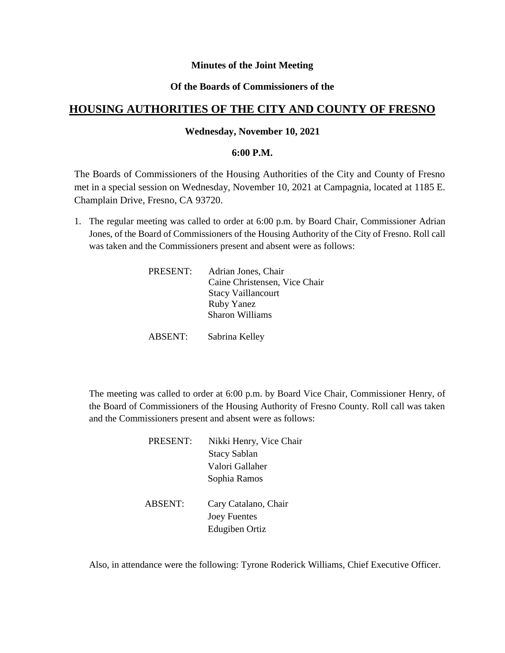## **Minutes of the Joint Meeting**

## **Of the Boards of Commissioners of the**

# **HOUSING AUTHORITIES OF THE CITY AND COUNTY OF FRESNO**

### **Wednesday, November 10, 2021**

#### **6:00 P.M.**

The Boards of Commissioners of the Housing Authorities of the City and County of Fresno met in a special session on Wednesday, November 10, 2021 at Campagnia, located at 1185 E. Champlain Drive, Fresno, CA 93720.

1. The regular meeting was called to order at 6:00 p.m. by Board Chair, Commissioner Adrian Jones, of the Board of Commissioners of the Housing Authority of the City of Fresno. Roll call was taken and the Commissioners present and absent were as follows:

| PRESENT: | Adrian Jones, Chair           |
|----------|-------------------------------|
|          | Caine Christensen, Vice Chair |
|          | <b>Stacy Vaillancourt</b>     |
|          | <b>Ruby Yanez</b>             |
|          | Sharon Williams               |
|          |                               |

ABSENT: Sabrina Kelley

The meeting was called to order at 6:00 p.m. by Board Vice Chair, Commissioner Henry, of the Board of Commissioners of the Housing Authority of Fresno County. Roll call was taken and the Commissioners present and absent were as follows:

| PRESENT:       | Nikki Henry, Vice Chair |
|----------------|-------------------------|
|                | <b>Stacy Sablan</b>     |
|                | Valori Gallaher         |
|                | Sophia Ramos            |
|                |                         |
| <b>ABSENT:</b> | Cary Catalano, Chair    |
|                | <b>Joey Fuentes</b>     |

Edugiben Ortiz

Also, in attendance were the following: Tyrone Roderick Williams, Chief Executive Officer.